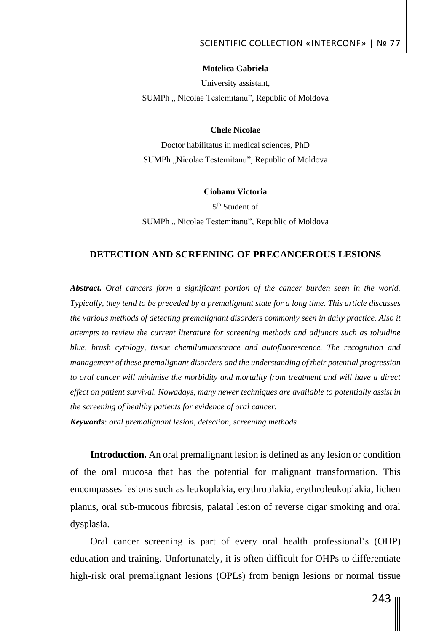## SCIENTIFIC COLLECTION «INTERCONF» | № 77

#### **Motelica Gabriela**

University assistant, SUMPh " Nicolae Testemitanu", Republic of Moldova

#### **Chele Nicolae**

Doctor habilitatus in medical sciences, PhD SUMPh "Nicolae Testemitanu", Republic of Moldova

#### **Ciobanu Victoria**

5<sup>th</sup> Student of SUMPh " Nicolae Testemitanu", Republic of Moldova

### **DETECTION AND SCREENING OF PRECANCEROUS LESIONS**

*Abstract. Oral cancers form a significant portion of the cancer burden seen in the world. Typically, they tend to be preceded by a premalignant state for a long time. This article discusses the various methods of detecting premalignant disorders commonly seen in daily practice. Also it attempts to review the current literature for screening methods and adjuncts such as toluidine blue, brush cytology, tissue chemiluminescence and autofluorescence. The recognition and management of these premalignant disorders and the understanding of their potential progression to oral cancer will minimise the morbidity and mortality from treatment and will have a direct effect on patient survival. Nowadays, many newer techniques are available to potentially assist in the screening of healthy patients for evidence of oral cancer. Keywords: oral premalignant lesion, detection, screening methods* 

**Introduction.** An oral premalignant lesion is defined as any lesion or condition of the oral mucosa that has the potential for malignant transformation. This encompasses lesions such as leukoplakia, erythroplakia, erythroleukoplakia, lichen planus, oral sub-mucous fibrosis, palatal lesion of reverse cigar smoking and oral dysplasia.

Oral cancer screening is part of every oral health professional's (OHP) education and training. Unfortunately, it is often difficult for OHPs to differentiate high-risk oral premalignant lesions (OPLs) from benign lesions or normal tissue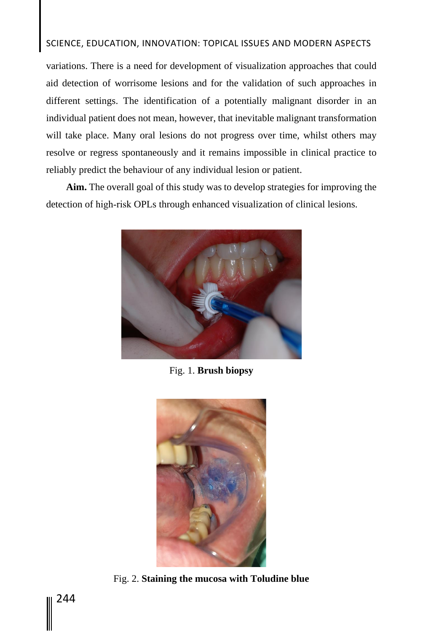# SCIENCE, EDUCATION, INNOVATION: TOPICAL ISSUES AND MODERN ASPECTS

variations. There is a need for development of visualization approaches that could aid detection of worrisome lesions and for the validation of such approaches in different settings. The identification of a potentially malignant disorder in an individual patient does not mean, however, that inevitable malignant transformation will take place. Many oral lesions do not progress over time, whilst others may resolve or regress spontaneously and it remains impossible in clinical practice to reliably predict the behaviour of any individual lesion or patient.

**Aim.** The overall goal of this study was to develop strategies for improving the detection of high‐risk OPLs through enhanced visualization of clinical lesions.



Fig. 1. **Brush biopsy**



Fig. 2. **Staining the mucosa with Toludine blue**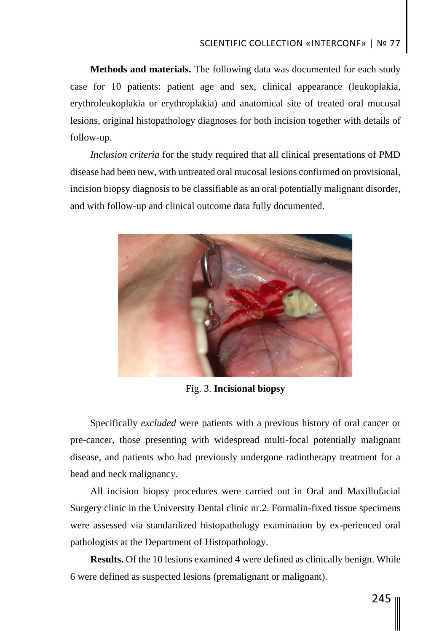## SCIENTIFIC COLLECTION «INTERCONF» | № 77

**Methods and materials.** The following data was documented for each study case for 10 patients: patient age and sex, clinical appearance (leukoplakia, erythroleukoplakia or erythroplakia) and anatomical site of treated oral mucosal lesions, original histopathology diagnoses for both incision together with details of follow-up.

*Inclusion criteria* for the study required that all clinical presentations of PMD disease had been new, with untreated oral mucosal lesions confirmed on provisional, incision biopsy diagnosis to be classifiable as an oral potentially malignant disorder, and with follow-up and clinical outcome data fully documented.



Fig. 3. **Incisional biopsy**

Specifically *excluded* were patients with a previous history of oral cancer or pre-cancer, those presenting with widespread multi-focal potentially malignant disease, and patients who had previously undergone radiotherapy treatment for a head and neck malignancy.

All incision biopsy procedures were carried out in Oral and Maxillofacial Surgery clinic in the University Dental clinic nr.2. Formalin-fixed tissue specimens were assessed via standardized histopathology examination by ex-perienced oral pathologists at the Department of Histopathology.

**Results.** Of the 10 lesions examined 4 were defined as clinically benign. While 6 were defined as suspected lesions (premalignant or malignant).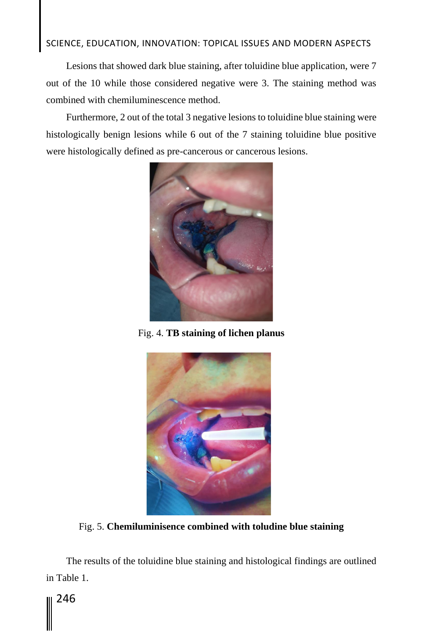# SCIENCE, EDUCATION, INNOVATION: TOPICAL ISSUES AND MODERN ASPECTS

Lesions that showed dark blue staining, after toluidine blue application, were 7 out of the 10 while those considered negative were 3. The staining method was combined with chemiluminescence method.

Furthermore, 2 out of the total 3 negative lesions to toluidine blue staining were histologically benign lesions while 6 out of the 7 staining toluidine blue positive were histologically defined as pre-cancerous or cancerous lesions.



Fig. 4. **TB staining of lichen planus**



Fig. 5. **Chemiluminisence combined with toludine blue staining**

The results of the toluidine blue staining and histological findings are outlined in Table 1.

246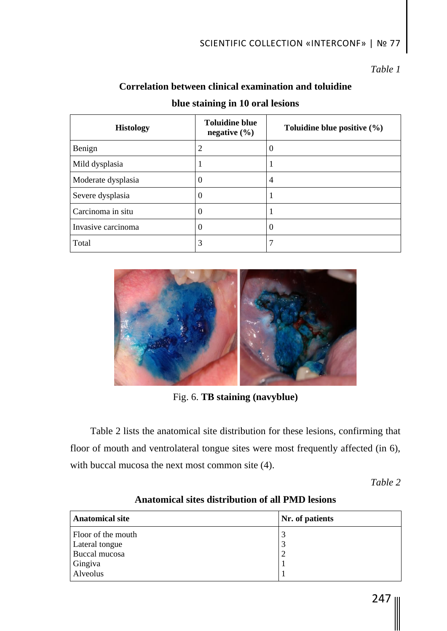*Table 1*

### **Correlation between clinical examination and toluidine**

| <b>Histology</b>   | <b>Toluidine blue</b><br>negative $(\% )$ | Toluidine blue positive (%) |
|--------------------|-------------------------------------------|-----------------------------|
| Benign             | 2                                         | 0                           |
| Mild dysplasia     |                                           | л                           |
| Moderate dysplasia | 0                                         | $\overline{4}$              |
| Severe dysplasia   | 0                                         |                             |
| Carcinoma in situ  | 0                                         | $\mathbf I$                 |
| Invasive carcinoma | 0                                         | 0                           |
| Total              | 3                                         |                             |

### **blue staining in 10 oral lesions**



Fig. 6. **TB staining (navyblue)**

Table 2 lists the anatomical site distribution for these lesions, confirming that floor of mouth and ventrolateral tongue sites were most frequently affected (in 6), with buccal mucosa the next most common site (4).

*Table 2*

| <b>Anatomical site</b> | Nr. of patients |
|------------------------|-----------------|
| Floor of the mouth     |                 |
| Lateral tongue         | 3               |
| Buccal mucosa          | ∠               |
| Gingiva                |                 |
| Alveolus               |                 |

### **Anatomical sites distribution of all PMD lesions**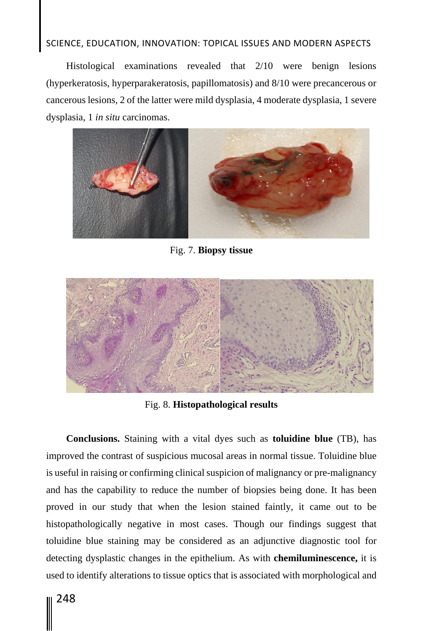# SCIENCE, EDUCATION, INNOVATION: TOPICAL ISSUES AND MODERN ASPECTS

Histological examinations revealed that 2/10 were benign lesions (hyperkeratosis, hyperparakeratosis, papillomatosis) and 8/10 were precancerous or cancerous lesions, 2 of the latter were mild dysplasia, 4 moderate dysplasia, 1 severe dysplasia, 1 *in situ* carcinomas.



Fig. 7. **Biopsy tissue**



Fig. 8. **Histopathological results**

**Conclusions.** Staining with a vital dyes such as **toluidine blue** (TB), has improved the contrast of suspicious mucosal areas in normal tissue. Toluidine blue is useful in raising or confirming clinical suspicion of malignancy or pre-malignancy and has the capability to reduce the number of biopsies being done. It has been proved in our study that when the lesion stained faintly, it came out to be histopathologically negative in most cases. Though our findings suggest that toluidine blue staining may be considered as an adjunctive diagnostic tool for detecting dysplastic changes in the epithelium. As with **chemiluminescence,** it is used to identify alterations to tissue optics that is associated with morphological and